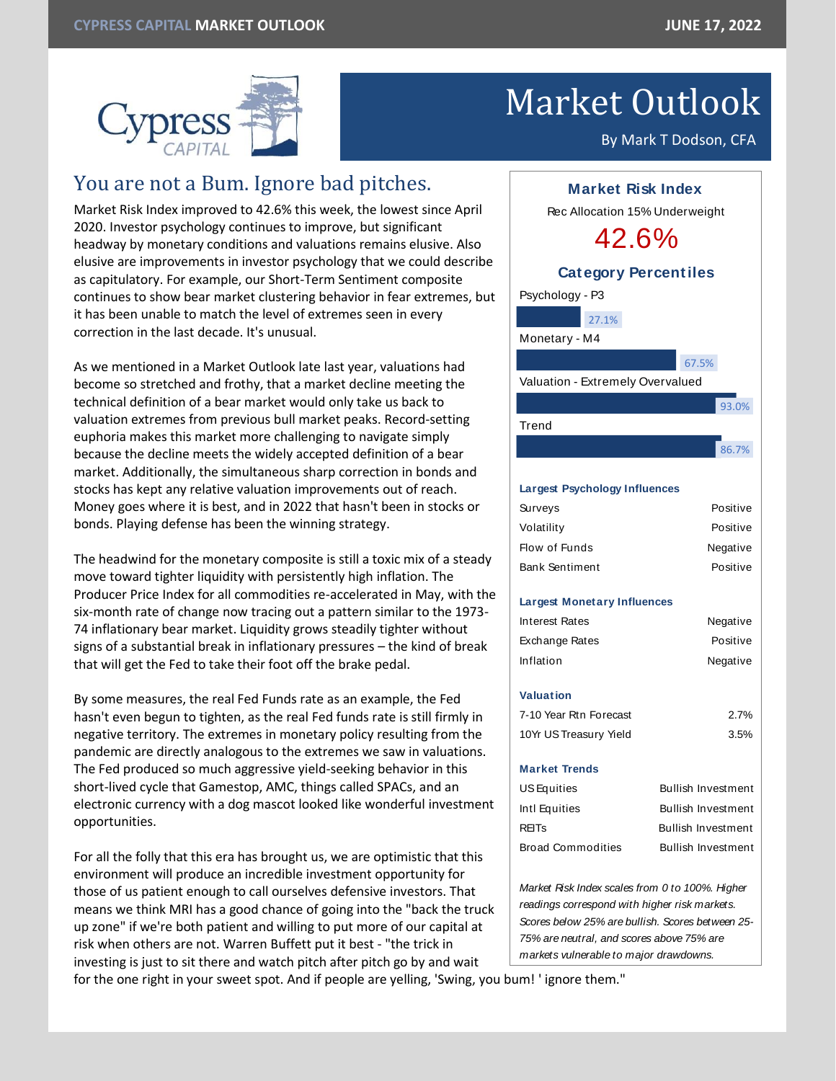

# Market Outlook

By Mark T Dodson, CFA

# You are not a Bum. Ignore bad pitches.

Market Risk Index improved to 42.6% this week, the lowest since April 2020. Investor psychology continues to improve, but significant headway by monetary conditions and valuations remains elusive. Also elusive are improvements in investor psychology that we could describe as capitulatory. For example, our Short-Term Sentiment composite continues to show bear market clustering behavior in fear extremes, but it has been unable to match the level of extremes seen in every correction in the last decade. It's unusual.

As we mentioned in a Market Outlook late last year, valuations had become so stretched and frothy, that a market decline meeting the technical definition of a bear market would only take us back to valuation extremes from previous bull market peaks. Record-setting euphoria makes this market more challenging to navigate simply because the decline meets the widely accepted definition of a bear market. Additionally, the simultaneous sharp correction in bonds and stocks has kept any relative valuation improvements out of reach. Money goes where it is best, and in 2022 that hasn't been in stocks or bonds. Playing defense has been the winning strategy.

The headwind for the monetary composite is still a toxic mix of a steady move toward tighter liquidity with persistently high inflation. The Producer Price Index for all commodities re-accelerated in May, with the six-month rate of change now tracing out a pattern similar to the 1973- 74 inflationary bear market. Liquidity grows steadily tighter without signs of a substantial break in inflationary pressures – the kind of break that will get the Fed to take their foot off the brake pedal.

By some measures, the real Fed Funds rate as an example, the Fed hasn't even begun to tighten, as the real Fed funds rate is still firmly in negative territory. The extremes in monetary policy resulting from the pandemic are directly analogous to the extremes we saw in valuations. The Fed produced so much aggressive yield-seeking behavior in this short-lived cycle that Gamestop, AMC, things called SPACs, and an electronic currency with a dog mascot looked like wonderful investment opportunities.

For all the folly that this era has brought us, we are optimistic that this environment will produce an incredible investment opportunity for those of us patient enough to call ourselves defensive investors. That means we think MRI has a good chance of going into the "back the truck up zone" if we're both patient and willing to put more of our capital at risk when others are not. Warren Buffett put it best - "the trick in investing is just to sit there and watch pitch after pitch go by and wait



# **Largest Psychology Influences**

| Surveys               | Positive |
|-----------------------|----------|
| Volatility            | Positive |
| Flow of Funds         | Negative |
| <b>Bank Sentiment</b> | Positive |
|                       |          |

## **Largest Monetary Influences**

| Interest Rates         | Negative                  |
|------------------------|---------------------------|
| Exchange Rates         | Positive                  |
| Inflation              | Negative                  |
|                        |                           |
| Valuation              |                           |
| 7-10 Year Rtn Forecast | 2.7%                      |
| 10Yr US Treasury Yield | 3.5%                      |
|                        |                           |
| <b>Market Trends</b>   |                           |
| US Equities            | Bullish Investment        |
| Intl Equities          | Bullish Investment        |
| <b>REITs</b>           | <b>Bullish Investment</b> |
| Broad Commodities      | <b>Bullish Investment</b> |
|                        |                           |
|                        |                           |

*Market Risk Index scales from 0 to 100%. Higher readings correspond with higher risk markets. Scores below 25% are bullish. Scores between 25- 75% are neutral, and scores above 75% are markets vulnerable to major drawdowns.*

for the one right in your sweet spot. And if people are yelling, 'Swing, you bum! ' ignore them."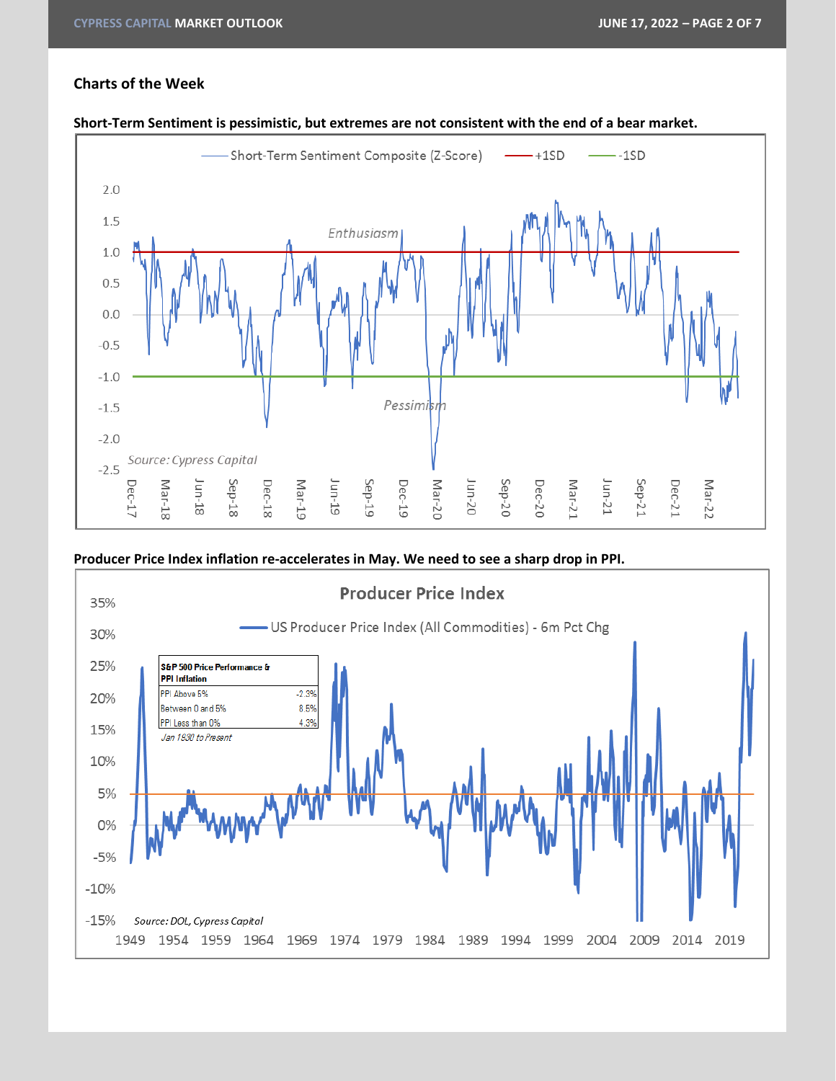# **Charts of the Week**



#### **Short-Term Sentiment is pessimistic, but extremes are not consistent with the end of a bear market.**

**Producer Price Index inflation re-accelerates in May. We need to see a sharp drop in PPI.**

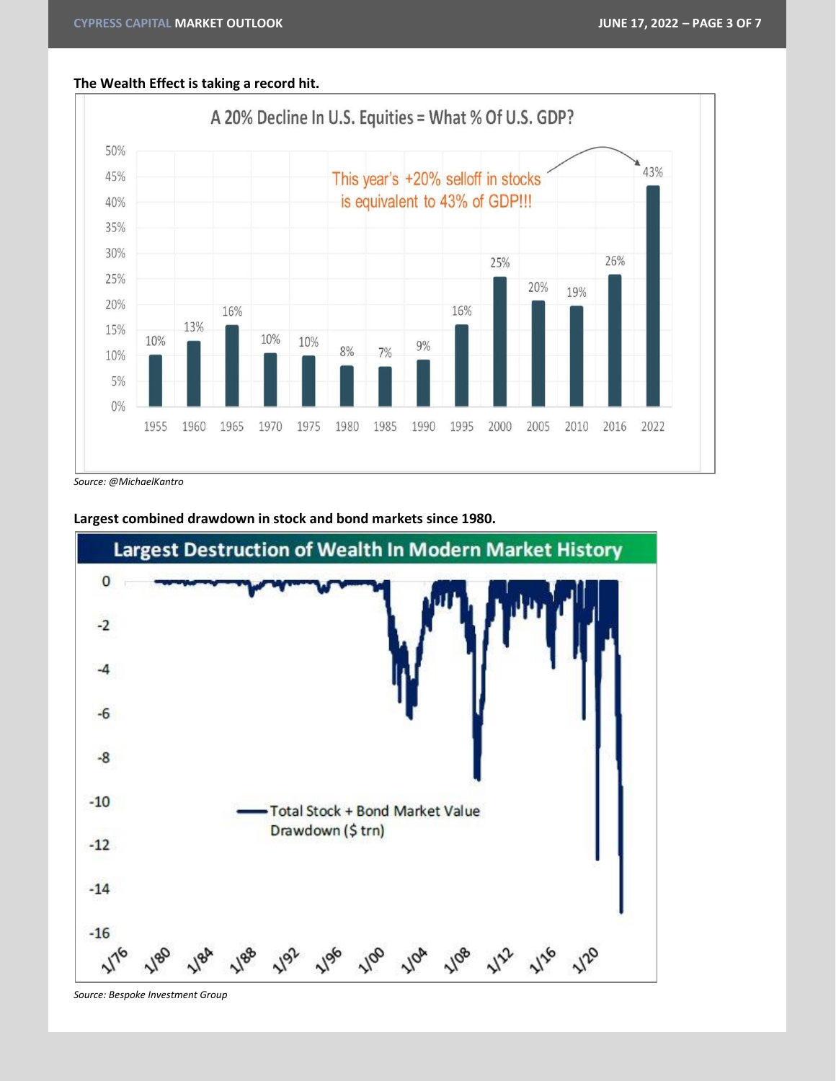### **The Wealth Effect is taking a record hit.**



*Source: @MichaelKantro*



**Largest combined drawdown in stock and bond markets since 1980.**

*Source: Bespoke Investment Group*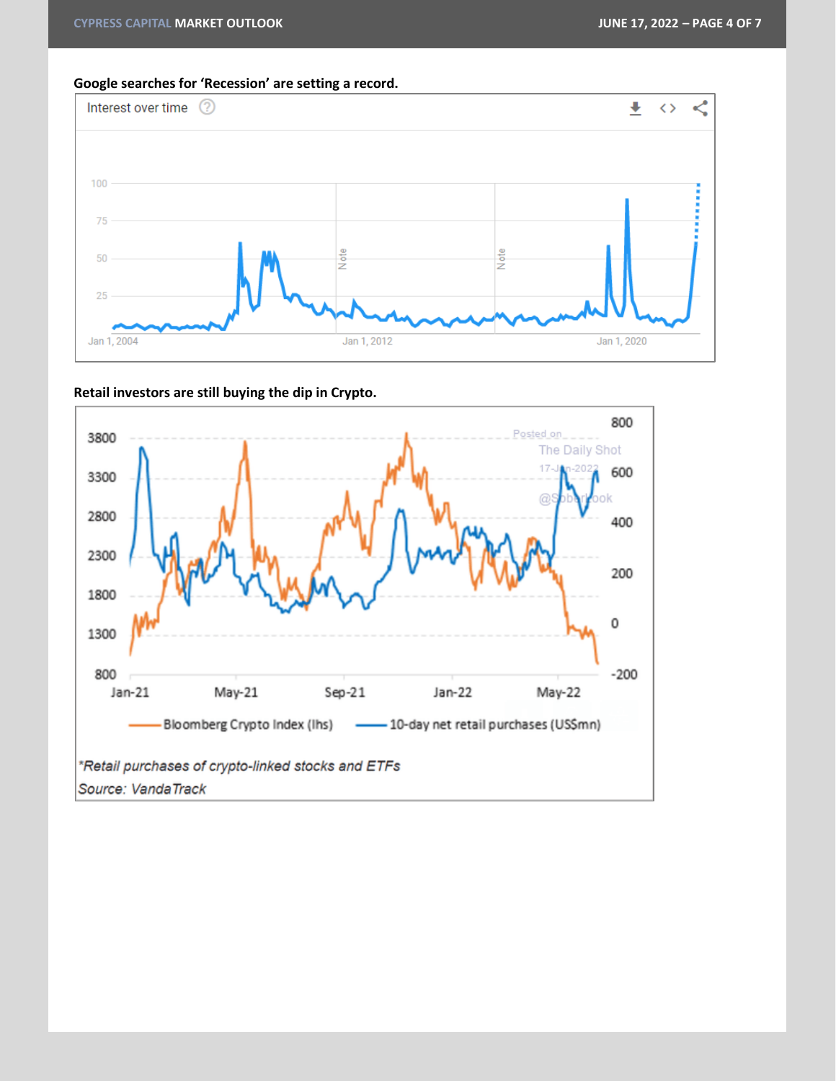**Google searches for 'Recession' are setting a record.**



**Retail investors are still buying the dip in Crypto.**

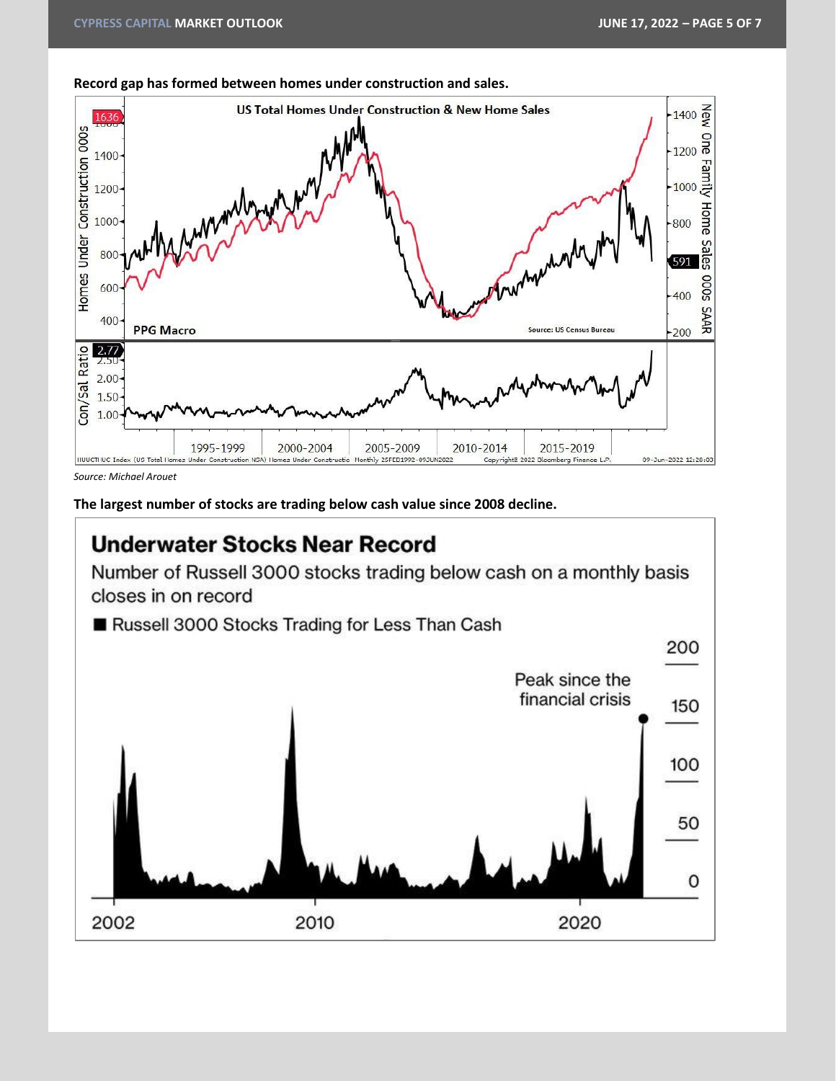

**Record gap has formed between homes under construction and sales.**

*Source: Michael Arouet*

**The largest number of stocks are trading below cash value since 2008 decline.**

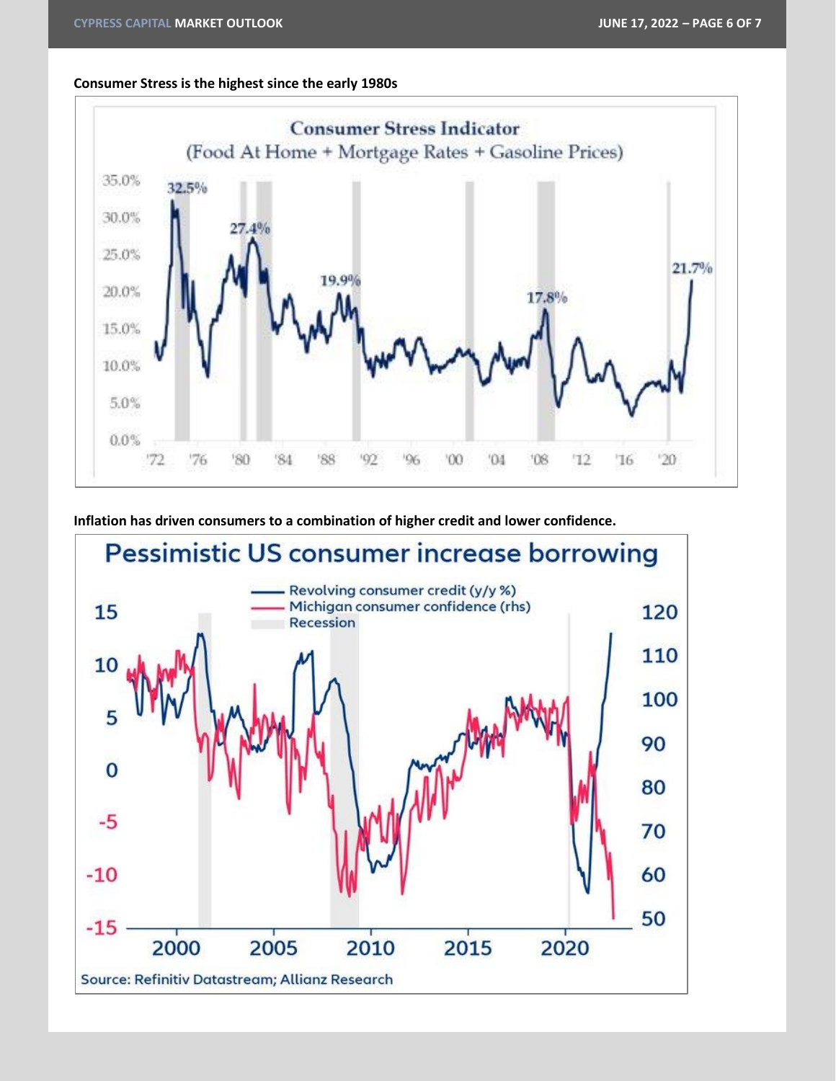# **Consumer Stress is the highest since the early 1980s**



**Inflation has driven consumers to a combination of higher credit and lower confidence.**